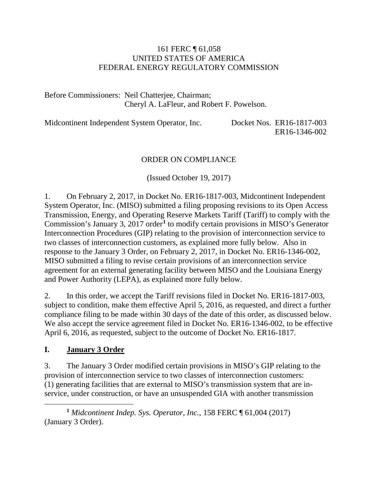## 161 FERC ¶ 61,058 UNITED STATES OF AMERICA FEDERAL ENERGY REGULATORY COMMISSION

Before Commissioners: Neil Chatterjee, Chairman; Cheryl A. LaFleur, and Robert F. Powelson.

Midcontinent Independent System Operator, Inc. Docket Nos. ER16-1817-003 ER16-1346-002

### ORDER ON COMPLIANCE

(Issued October 19, 2017)

1. On February 2, 2017, in Docket No. ER16-1817-003, Midcontinent Independent System Operator, Inc. (MISO) submitted a filing proposing revisions to its Open Access Transmission, Energy, and Operating Reserve Markets Tariff (Tariff) to comply with the Commission's January 3, 2017 order**[1](#page-0-0)** to modify certain provisions in MISO's Generator Interconnection Procedures (GIP) relating to the provision of interconnection service to two classes of interconnection customers, as explained more fully below. Also in response to the January 3 Order, on February 2, 2017, in Docket No. ER16-1346-002, MISO submitted a filing to revise certain provisions of an interconnection service agreement for an external generating facility between MISO and the Louisiana Energy and Power Authority (LEPA), as explained more fully below.

2. In this order, we accept the Tariff revisions filed in Docket No. ER16-1817-003, subject to condition, make them effective April 5, 2016, as requested, and direct a further compliance filing to be made within 30 days of the date of this order, as discussed below. We also accept the service agreement filed in Docket No. ER16-1346-002, to be effective April 6, 2016, as requested, subject to the outcome of Docket No. ER16-1817.

## **I. January 3 Order**

 $\overline{a}$ 

3. The January 3 Order modified certain provisions in MISO's GIP relating to the provision of interconnection service to two classes of interconnection customers: (1) generating facilities that are external to MISO's transmission system that are inservice, under construction, or have an unsuspended GIA with another transmission

<span id="page-0-0"></span>**<sup>1</sup>** *Midcontinent Indep. Sys. Operator, Inc.*, 158 FERC ¶ 61,004 (2017) (January 3 Order).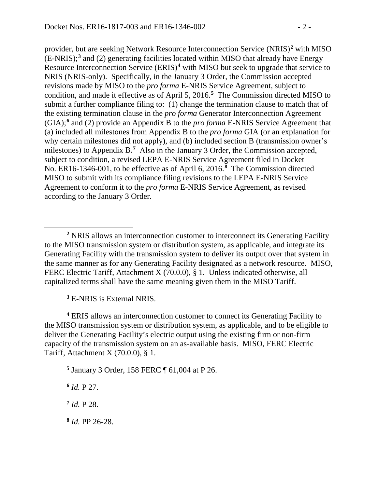provider, but are seeking Network Resource Interconnection Service (NRIS)**[2](#page-1-0)** with MISO (E-NRIS);**[3](#page-1-1)** and (2) generating facilities located within MISO that already have Energy Resource Interconnection Service (ERIS)<sup>[4](#page-1-2)</sup> with MISO but seek to upgrade that service to NRIS (NRIS-only). Specifically, in the January 3 Order, the Commission accepted revisions made by MISO to the *pro forma* E-NRIS Service Agreement, subject to condition, and made it effective as of April 5, 2016.**[5](#page-1-3)** The Commission directed MISO to submit a further compliance filing to:  $(1)$  change the termination clause to match that of the existing termination clause in the *pro forma* Generator Interconnection Agreement (GIA);**[6](#page-1-4)** and (2) provide an Appendix B to the *pro forma* E-NRIS Service Agreement that (a) included all milestones from Appendix B to the *pro forma* GIA (or an explanation for why certain milestones did not apply), and (b) included section B (transmission owner's milestones) to Appendix B.<sup>[7](#page-1-5)</sup> Also in the January 3 Order, the Commission accepted, subject to condition, a revised LEPA E-NRIS Service Agreement filed in Docket No. ER16-1346-001, to be effective as of April 6, 2016.**[8](#page-1-6)** The Commission directed MISO to submit with its compliance filing revisions to the LEPA E-NRIS Service Agreement to conform it to the *pro forma* E-NRIS Service Agreement, as revised according to the January 3 Order.

**<sup>3</sup>** E-NRIS is External NRIS.

<span id="page-1-2"></span><span id="page-1-1"></span>**<sup>4</sup>** ERIS allows an interconnection customer to connect its Generating Facility to the MISO transmission system or distribution system, as applicable, and to be eligible to deliver the Generating Facility's electric output using the existing firm or non-firm capacity of the transmission system on an as-available basis. MISO, FERC Electric Tariff, Attachment X (70.0.0), § 1.

<span id="page-1-3"></span>**<sup>5</sup>** January 3 Order, 158 FERC ¶ 61,004 at P 26.

<span id="page-1-4"></span>**<sup>6</sup>** *Id.* P 27.

 $\overline{a}$ 

<span id="page-1-5"></span>**<sup>7</sup>** *Id.* P 28.

<span id="page-1-6"></span>**<sup>8</sup>** *Id.* PP 26-28.

<span id="page-1-0"></span>**<sup>2</sup>** NRIS allows an interconnection customer to interconnect its Generating Facility to the MISO transmission system or distribution system, as applicable, and integrate its Generating Facility with the transmission system to deliver its output over that system in the same manner as for any Generating Facility designated as a network resource. MISO, FERC Electric Tariff, Attachment X (70.0.0), § 1. Unless indicated otherwise, all capitalized terms shall have the same meaning given them in the MISO Tariff.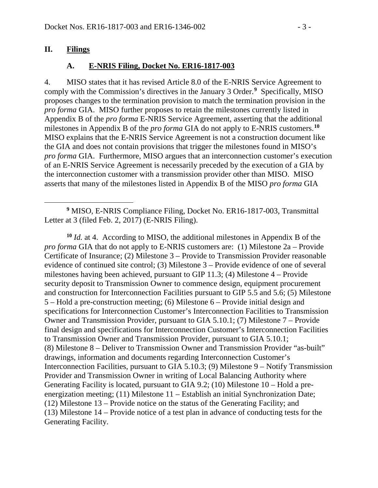### **II. Filings**

 $\overline{a}$ 

### **A. E-NRIS Filing, Docket No. ER16-1817-003**

4. MISO states that it has revised Article 8.0 of the E-NRIS Service Agreement to comply with the Commission's directives in the January 3 Order.<sup>[9](#page-2-0)</sup> Specifically, MISO proposes changes to the termination provision to match the termination provision in the *pro forma* GIA. MISO further proposes to retain the milestones currently listed in Appendix B of the *pro forma* E-NRIS Service Agreement, asserting that the additional milestones in Appendix B of the *pro forma* GIA do not apply to E-NRIS customers. **[10](#page-2-1)** MISO explains that the E-NRIS Service Agreement is not a construction document like the GIA and does not contain provisions that trigger the milestones found in MISO's *pro forma* GIA. Furthermore, MISO argues that an interconnection customer's execution of an E-NRIS Service Agreement is necessarily preceded by the execution of a GIA by the interconnection customer with a transmission provider other than MISO. MISO asserts that many of the milestones listed in Appendix B of the MISO *pro forma* GIA

<span id="page-2-0"></span>**<sup>9</sup>** MISO, E-NRIS Compliance Filing, Docket No. ER16-1817-003, Transmittal Letter at 3 (filed Feb. 2, 2017) (E-NRIS Filing).

<span id="page-2-1"></span>**<sup>10</sup>** *Id.* at 4. According to MISO, the additional milestones in Appendix B of the *pro forma* GIA that do not apply to E-NRIS customers are: (1) Milestone 2a – Provide Certificate of Insurance; (2) Milestone 3 – Provide to Transmission Provider reasonable evidence of continued site control; (3) Milestone 3 – Provide evidence of one of several milestones having been achieved, pursuant to GIP 11.3; (4) Milestone 4 – Provide security deposit to Transmission Owner to commence design, equipment procurement and construction for Interconnection Facilities pursuant to GIP 5.5 and 5.6; (5) Milestone 5 – Hold a pre-construction meeting; (6) Milestone 6 – Provide initial design and specifications for Interconnection Customer's Interconnection Facilities to Transmission Owner and Transmission Provider, pursuant to GIA 5.10.1; (7) Milestone 7 – Provide final design and specifications for Interconnection Customer's Interconnection Facilities to Transmission Owner and Transmission Provider, pursuant to GIA 5.10.1; (8) Milestone 8 – Deliver to Transmission Owner and Transmission Provider "as-built" drawings, information and documents regarding Interconnection Customer's Interconnection Facilities, pursuant to GIA 5.10.3; (9) Milestone 9 – Notify Transmission Provider and Transmission Owner in writing of Local Balancing Authority where Generating Facility is located, pursuant to GIA 9.2; (10) Milestone 10 – Hold a preenergization meeting; (11) Milestone 11 – Establish an initial Synchronization Date; (12) Milestone 13 – Provide notice on the status of the Generating Facility; and (13) Milestone 14 – Provide notice of a test plan in advance of conducting tests for the Generating Facility.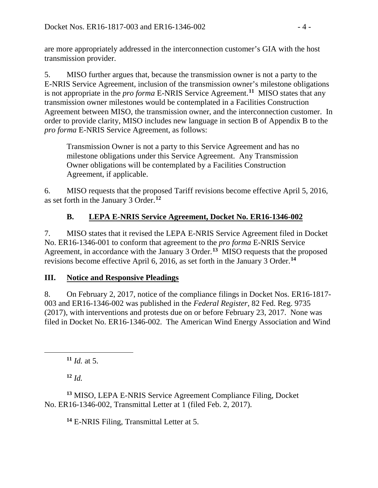are more appropriately addressed in the interconnection customer's GIA with the host transmission provider.

5. MISO further argues that, because the transmission owner is not a party to the E-NRIS Service Agreement, inclusion of the transmission owner's milestone obligations is not appropriate in the *pro forma* E-NRIS Service Agreement.**[11](#page-3-0)** MISO states that any transmission owner milestones would be contemplated in a Facilities Construction Agreement between MISO, the transmission owner, and the interconnection customer. In order to provide clarity, MISO includes new language in section B of Appendix B to the *pro forma* E-NRIS Service Agreement, as follows:

Transmission Owner is not a party to this Service Agreement and has no milestone obligations under this Service Agreement. Any Transmission Owner obligations will be contemplated by a Facilities Construction Agreement, if applicable.

6. MISO requests that the proposed Tariff revisions become effective April 5, 2016, as set forth in the January 3 Order. **[12](#page-3-1)**

# **B. LEPA E-NRIS Service Agreement, Docket No. ER16-1346-002**

7. MISO states that it revised the LEPA E-NRIS Service Agreement filed in Docket No. ER16-1346-001 to conform that agreement to the *pro forma* E-NRIS Service Agreement, in accordance with the January 3 Order.**[13](#page-3-2)** MISO requests that the proposed revisions become effective April 6, 2016, as set forth in the January 3 Order.**[14](#page-3-3)**

## **III. Notice and Responsive Pleadings**

8. On February 2, 2017, notice of the compliance filings in Docket Nos. ER16-1817- 003 and ER16-1346-002 was published in the *Federal Register*, 82 Fed. Reg. 9735 (2017), with interventions and protests due on or before February 23, 2017. None was filed in Docket No. ER16-1346-002. The American Wind Energy Association and Wind

**<sup>11</sup>** *Id.* at 5.

**<sup>12</sup>** *Id.*

<span id="page-3-0"></span> $\overline{a}$ 

<span id="page-3-3"></span><span id="page-3-2"></span><span id="page-3-1"></span>**<sup>13</sup>** MISO, LEPA E-NRIS Service Agreement Compliance Filing, Docket No. ER16-1346-002, Transmittal Letter at 1 (filed Feb. 2, 2017).

**<sup>14</sup>** E-NRIS Filing, Transmittal Letter at 5.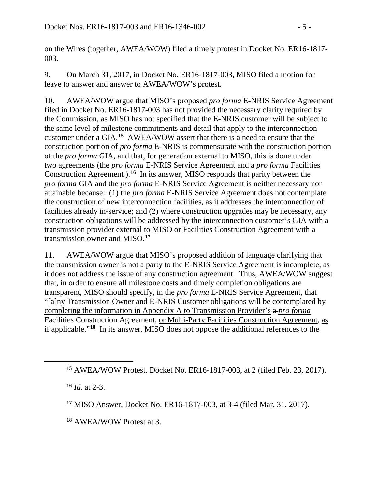on the Wires (together, AWEA/WOW) filed a timely protest in Docket No. ER16-1817- 003.

9. On March 31, 2017, in Docket No. ER16-1817-003, MISO filed a motion for leave to answer and answer to AWEA/WOW's protest.

10. AWEA/WOW argue that MISO's proposed *pro forma* E-NRIS Service Agreement filed in Docket No. ER16-1817-003 has not provided the necessary clarity required by the Commission, as MISO has not specified that the E-NRIS customer will be subject to the same level of milestone commitments and detail that apply to the interconnection customer under a GIA. **[15](#page-4-0)** AWEA/WOW assert that there is a need to ensure that the construction portion of *pro forma* E-NRIS is commensurate with the construction portion of the *pro forma* GIA, and that, for generation external to MISO, this is done under two agreements (the *pro forma* E-NRIS Service Agreement and a *pro forma* Facilities Construction Agreement ). **[16](#page-4-1)** In its answer, MISO responds that parity between the *pro forma* GIA and the *pro forma* E-NRIS Service Agreement is neither necessary nor attainable because: (1) the *pro forma* E-NRIS Service Agreement does not contemplate the construction of new interconnection facilities, as it addresses the interconnection of facilities already in-service; and (2) where construction upgrades may be necessary, any construction obligations will be addressed by the interconnection customer's GIA with a transmission provider external to MISO or Facilities Construction Agreement with a transmission owner and MISO.**[17](#page-4-2)**

11. AWEA/WOW argue that MISO's proposed addition of language clarifying that the transmission owner is not a party to the E-NRIS Service Agreement is incomplete, as it does not address the issue of any construction agreement. Thus, AWEA/WOW suggest that, in order to ensure all milestone costs and timely completion obligations are transparent, MISO should specify, in the *pro forma* E-NRIS Service Agreement, that "[a]ny Transmission Owner and E-NRIS Customer obligations will be contemplated by completing the information in Appendix A to Transmission Provider's a *pro forma* Facilities Construction Agreement, or Multi-Party Facilities Construction Agreement, as if applicable."**[18](#page-4-3)** In its answer, MISO does not oppose the additional references to the

**<sup>16</sup>** *Id.* at 2-3.

<span id="page-4-2"></span><span id="page-4-1"></span><span id="page-4-0"></span> $\overline{a}$ 

**<sup>17</sup>** MISO Answer, Docket No. ER16-1817-003, at 3-4 (filed Mar. 31, 2017).

<span id="page-4-3"></span>**<sup>18</sup>** AWEA/WOW Protest at 3.

**<sup>15</sup>** AWEA/WOW Protest, Docket No. ER16-1817-003, at 2 (filed Feb. 23, 2017).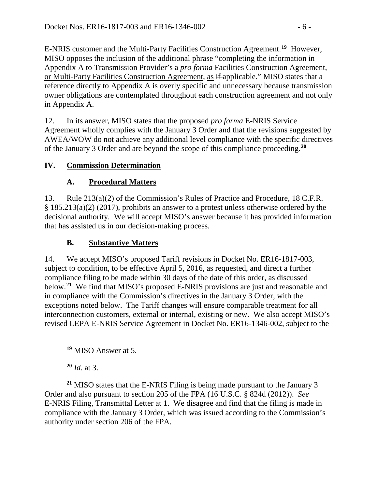E-NRIS customer and the Multi-Party Facilities Construction Agreement. **[19](#page-5-0)** However, MISO opposes the inclusion of the additional phrase "completing the information in Appendix A to Transmission Provider's a *pro forma* Facilities Construction Agreement, or Multi-Party Facilities Construction Agreement, as if applicable." MISO states that a reference directly to Appendix A is overly specific and unnecessary because transmission owner obligations are contemplated throughout each construction agreement and not only in Appendix A.

12. In its answer, MISO states that the proposed *pro forma* E-NRIS Service Agreement wholly complies with the January 3 Order and that the revisions suggested by AWEA/WOW do not achieve any additional level compliance with the specific directives of the January 3 Order and are beyond the scope of this compliance proceeding.**[20](#page-5-1)**

# **IV. Commission Determination**

# **A. Procedural Matters**

13. Rule 213(a)(2) of the Commission's Rules of Practice and Procedure, 18 C.F.R. § 185.213(a)(2) (2017), prohibits an answer to a protest unless otherwise ordered by the decisional authority. We will accept MISO's answer because it has provided information that has assisted us in our decision-making process.

# **B. Substantive Matters**

14. We accept MISO's proposed Tariff revisions in Docket No. ER16-1817-003, subject to condition, to be effective April 5, 2016, as requested, and direct a further compliance filing to be made within 30 days of the date of this order, as discussed below. **[21](#page-5-2)** We find that MISO's proposed E-NRIS provisions are just and reasonable and in compliance with the Commission's directives in the January 3 Order, with the exceptions noted below. The Tariff changes will ensure comparable treatment for all interconnection customers, external or internal, existing or new. We also accept MISO's revised LEPA E-NRIS Service Agreement in Docket No. ER16-1346-002, subject to the

**<sup>19</sup>** MISO Answer at 5.

**<sup>20</sup>** *Id.* at 3.

<span id="page-5-0"></span> $\overline{a}$ 

<span id="page-5-2"></span><span id="page-5-1"></span>**<sup>21</sup>** MISO states that the E-NRIS Filing is being made pursuant to the January 3 Order and also pursuant to section 205 of the FPA (16 U.S.C. § 824d (2012)). *See*  E-NRIS Filing, Transmittal Letter at 1. We disagree and find that the filing is made in compliance with the January 3 Order, which was issued according to the Commission's authority under section 206 of the FPA.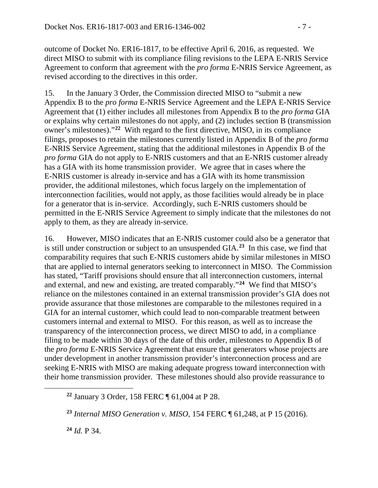outcome of Docket No. ER16-1817, to be effective April 6, 2016, as requested. We direct MISO to submit with its compliance filing revisions to the LEPA E-NRIS Service Agreement to conform that agreement with the *pro forma* E-NRIS Service Agreement, as revised according to the directives in this order.

15. In the January 3 Order, the Commission directed MISO to "submit a new Appendix B to the *pro forma* E-NRIS Service Agreement and the LEPA E-NRIS Service Agreement that (1) either includes all milestones from Appendix B to the *pro forma* GIA or explains why certain milestones do not apply, and (2) includes section B (transmission owner's milestones)."**[22](#page-6-0)** With regard to the first directive, MISO, in its compliance filings, proposes to retain the milestones currently listed in Appendix B of the *pro forma* E-NRIS Service Agreement, stating that the additional milestones in Appendix B of the *pro forma* GIA do not apply to E-NRIS customers and that an E-NRIS customer already has a GIA with its home transmission provider. We agree that in cases where the E-NRIS customer is already in-service and has a GIA with its home transmission provider, the additional milestones, which focus largely on the implementation of interconnection facilities, would not apply, as those facilities would already be in place for a generator that is in-service. Accordingly, such E-NRIS customers should be permitted in the E-NRIS Service Agreement to simply indicate that the milestones do not apply to them, as they are already in-service.

16. However, MISO indicates that an E-NRIS customer could also be a generator that is still under construction or subject to an unsuspended GIA.**[23](#page-6-1)** In this case, we find that comparability requires that such E-NRIS customers abide by similar milestones in MISO that are applied to internal generators seeking to interconnect in MISO. The Commission has stated, "Tariff provisions should ensure that all interconnection customers, internal and external, and new and existing, are treated comparably."**[24](#page-6-2)** We find that MISO's reliance on the milestones contained in an external transmission provider's GIA does not provide assurance that those milestones are comparable to the milestones required in a GIA for an internal customer, which could lead to non-comparable treatment between customers internal and external to MISO. For this reason, as well as to increase the transparency of the interconnection process, we direct MISO to add, in a compliance filing to be made within 30 days of the date of this order, milestones to Appendix B of the *pro forma* E-NRIS Service Agreement that ensure that generators whose projects are under development in another transmission provider's interconnection process and are seeking E-NRIS with MISO are making adequate progress toward interconnection with their home transmission provider. These milestones should also provide reassurance to

**<sup>24</sup>** *Id.* P 34.

<span id="page-6-2"></span><span id="page-6-1"></span><span id="page-6-0"></span> $\overline{a}$ 

**<sup>22</sup>** January 3 Order, 158 FERC ¶ 61,004 at P 28.

**<sup>23</sup>** *Internal MISO Generation v. MISO,* 154 FERC ¶ 61,248, at P 15 (2016).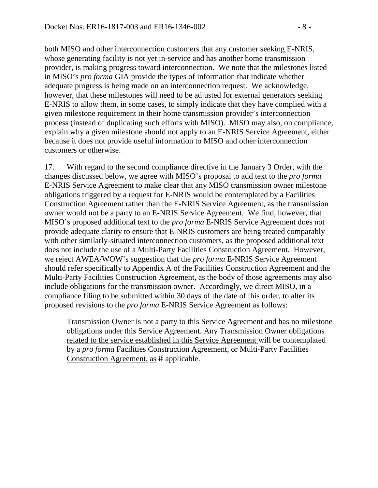both MISO and other interconnection customers that any customer seeking E-NRIS, whose generating facility is not yet in-service and has another home transmission provider, is making progress toward interconnection. We note that the milestones listed in MISO's *pro forma* GIA provide the types of information that indicate whether adequate progress is being made on an interconnection request. We acknowledge, however, that these milestones will need to be adjusted for external generators seeking E-NRIS to allow them, in some cases, to simply indicate that they have complied with a given milestone requirement in their home transmission provider's interconnection process (instead of duplicating such efforts with MISO). MISO may also, on compliance, explain why a given milestone should not apply to an E-NRIS Service Agreement, either because it does not provide useful information to MISO and other interconnection customers or otherwise.

17. With regard to the second compliance directive in the January 3 Order, with the changes discussed below, we agree with MISO's proposal to add text to the *pro forma* E-NRIS Service Agreement to make clear that any MISO transmission owner milestone obligations triggered by a request for E-NRIS would be contemplated by a Facilities Construction Agreement rather than the E-NRIS Service Agreement, as the transmission owner would not be a party to an E-NRIS Service Agreement. We find, however, that MISO's proposed additional text to the *pro forma* E-NRIS Service Agreement does not provide adequate clarity to ensure that E-NRIS customers are being treated comparably with other similarly-situated interconnection customers, as the proposed additional text does not include the use of a Multi-Party Facilities Construction Agreement. However, we reject AWEA/WOW's suggestion that the *pro forma* E-NRIS Service Agreement should refer specifically to Appendix A of the Facilities Construction Agreement and the Multi-Party Facilities Construction Agreement, as the body of those agreements may also include obligations for the transmission owner. Accordingly, we direct MISO, in a compliance filing to be submitted within 30 days of the date of this order, to alter its proposed revisions to the *pro forma* E-NRIS Service Agreement as follows:

Transmission Owner is not a party to this Service Agreement and has no milestone obligations under this Service Agreement. Any Transmission Owner obligations related to the service established in this Service Agreement will be contemplated by a *pro forma* Facilities Construction Agreement, or Multi-Party Facilities Construction Agreement, as if applicable.